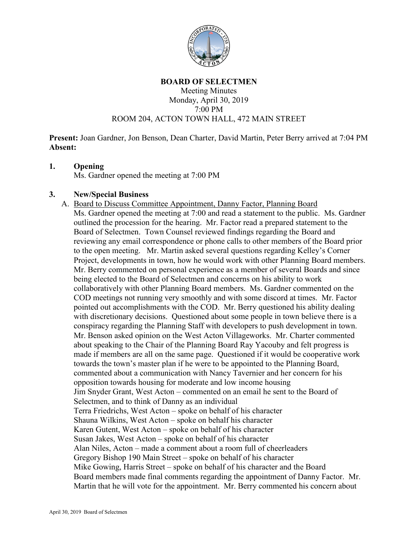

#### **BOARD OF SELECTMEN**

### Meeting Minutes Monday, April 30, 2019 7:00 PM ROOM 204, ACTON TOWN HALL, 472 MAIN STREET

**Present:** Joan Gardner, Jon Benson, Dean Charter, David Martin, Peter Berry arrived at 7:04 PM **Absent:**

### **1. Opening**

Ms. Gardner opened the meeting at 7:00 PM

### **3. New/Special Business**

A. Board to Discuss Committee Appointment, Danny Factor, Planning Board Ms. Gardner opened the meeting at 7:00 and read a statement to the public. Ms. Gardner outlined the procession for the hearing. Mr. Factor read a prepared statement to the Board of Selectmen. Town Counsel reviewed findings regarding the Board and reviewing any email correspondence or phone calls to other members of the Board prior to the open meeting. Mr. Martin asked several questions regarding Kelley's Corner Project, developments in town, how he would work with other Planning Board members. Mr. Berry commented on personal experience as a member of several Boards and since being elected to the Board of Selectmen and concerns on his ability to work collaboratively with other Planning Board members. Ms. Gardner commented on the COD meetings not running very smoothly and with some discord at times. Mr. Factor pointed out accomplishments with the COD. Mr. Berry questioned his ability dealing with discretionary decisions. Questioned about some people in town believe there is a conspiracy regarding the Planning Staff with developers to push development in town. Mr. Benson asked opinion on the West Acton Villageworks. Mr. Charter commented about speaking to the Chair of the Planning Board Ray Yacouby and felt progress is made if members are all on the same page. Questioned if it would be cooperative work towards the town's master plan if he were to be appointed to the Planning Board, commented about a communication with Nancy Tavernier and her concern for his opposition towards housing for moderate and low income housing Jim Snyder Grant, West Acton – commented on an email he sent to the Board of Selectmen, and to think of Danny as an individual Terra Friedrichs, West Acton – spoke on behalf of his character Shauna Wilkins, West Acton – spoke on behalf his character Karen Gutent, West Acton – spoke on behalf of his character Susan Jakes, West Acton – spoke on behalf of his character Alan Niles, Acton – made a comment about a room full of cheerleaders Gregory Bishop 190 Main Street – spoke on behalf of his character Mike Gowing, Harris Street – spoke on behalf of his character and the Board Board members made final comments regarding the appointment of Danny Factor. Mr. Martin that he will vote for the appointment. Mr. Berry commented his concern about